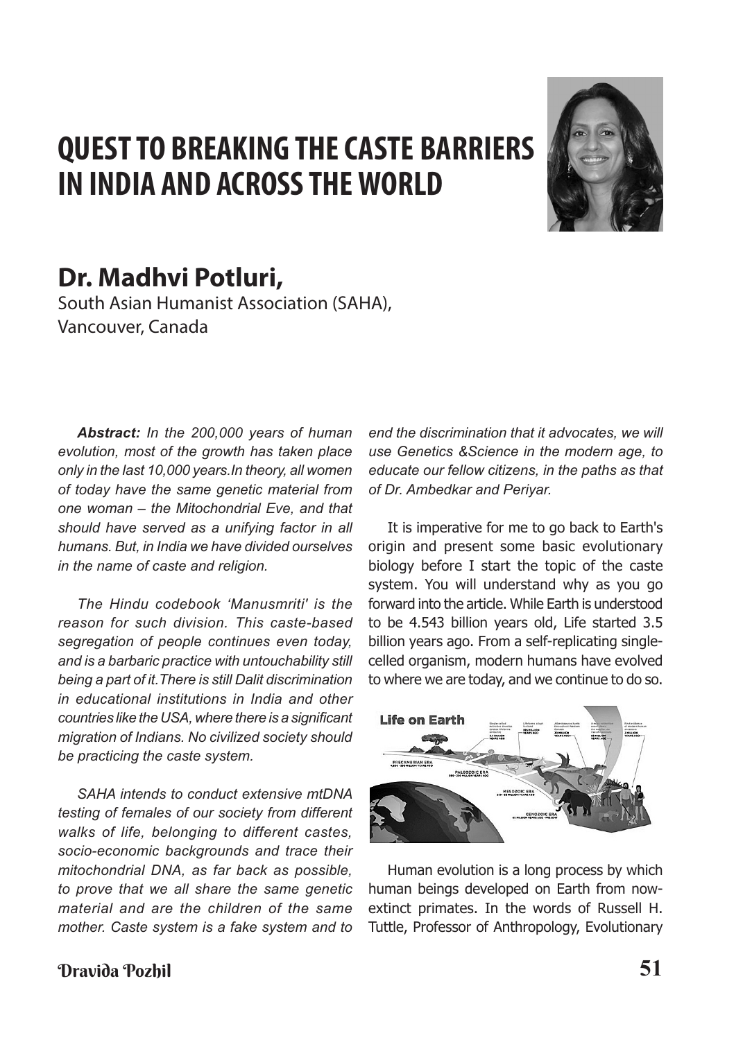# **QUEST TO BREAKING THE CASTE BARRIERS IN INDIA AND ACROSS THE WORLD**



# **Dr. Madhvi Potluri,**

South Asian Humanist Association (SAHA), Vancouver, Canada

*Abstract: In the 200,000 years of human evolution, most of the growth has taken place only in the last 10,000 years.In theory, all women of today have the same genetic material from one woman – the Mitochondrial Eve, and that should have served as a unifying factor in all humans. But, in India we have divided ourselves in the name of caste and religion.* 

*The Hindu codebook 'Manusmriti' is the reason for such division. This caste-based segregation of people continues even today, and is a barbaric practice with untouchability still being a part of it.There is still Dalit discrimination in educational institutions in India and other countries like the USA, where there is a significant migration of Indians. No civilized society should be practicing the caste system.*

*SAHA intends to conduct extensive mtDNA testing of females of our society from different walks of life, belonging to different castes, socio-economic backgrounds and trace their mitochondrial DNA, as far back as possible, to prove that we all share the same genetic material and are the children of the same mother. Caste system is a fake system and to* 

*end the discrimination that it advocates, we will use Genetics &Science in the modern age, to educate our fellow citizens, in the paths as that of Dr. Ambedkar and Periyar.*

It is imperative for me to go back to Earth's origin and present some basic evolutionary biology before I start the topic of the caste system. You will understand why as you go forward into the article. While Earth is understood to be 4.543 billion years old, Life started 3.5 billion years ago. From a self-replicating singlecelled organism, modern humans have evolved to where we are today, and we continue to do so.



Human evolution is a long process by which human beings developed on Earth from nowextinct primates. In the words of Russell H. Tuttle, Professor of Anthropology, Evolutionary

# Dravida Pozhil **51**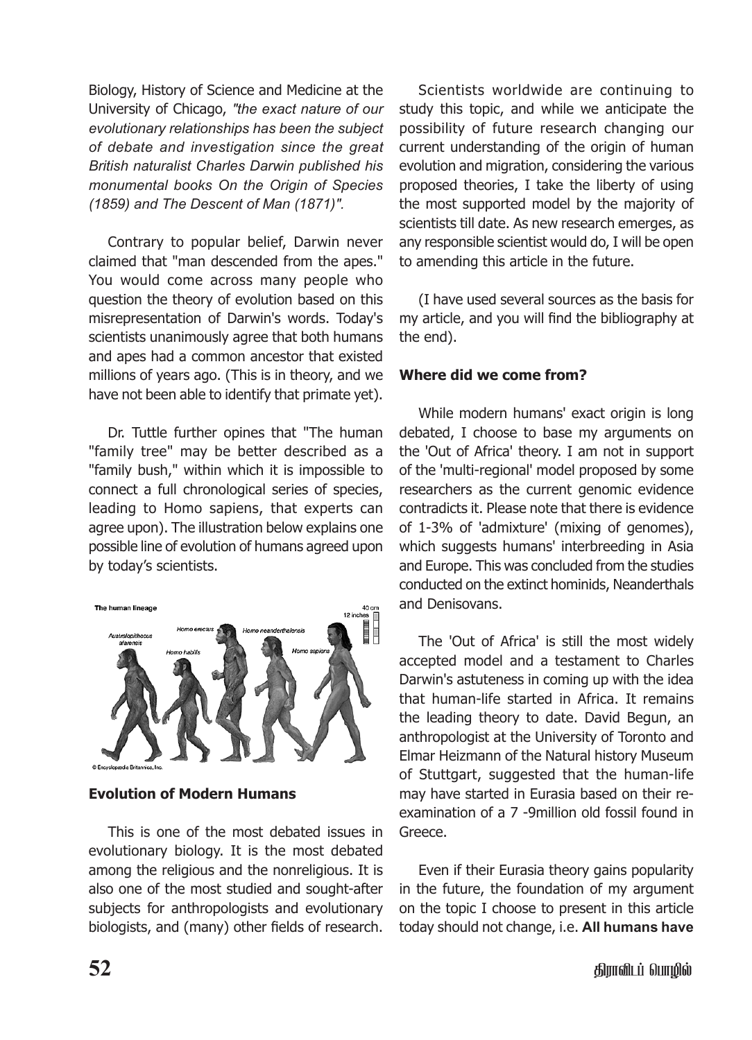Biology, History of Science and Medicine at the University of Chicago, *"the exact nature of our evolutionary relationships has been the subject of debate and investigation since the great British naturalist Charles Darwin published his monumental books On the Origin of Species (1859) and The Descent of Man (1871)".*

Contrary to popular belief, Darwin never claimed that "man descended from the apes." You would come across many people who question the theory of evolution based on this misrepresentation of Darwin's words. Today's scientists unanimously agree that both humans and apes had a common ancestor that existed millions of years ago. (This is in theory, and we have not been able to identify that primate yet).

Dr. Tuttle further opines that "The human "family tree" may be better described as a "family bush," within which it is impossible to connect a full chronological series of species, leading to Homo sapiens, that experts can agree upon). The illustration below explains one possible line of evolution of humans agreed upon by today's scientists.



**Evolution of Modern Humans**

This is one of the most debated issues in evolutionary biology. It is the most debated among the religious and the nonreligious. It is also one of the most studied and sought-after subjects for anthropologists and evolutionary biologists, and (many) other fields of research.

Scientists worldwide are continuing to study this topic, and while we anticipate the possibility of future research changing our current understanding of the origin of human evolution and migration, considering the various proposed theories, I take the liberty of using the most supported model by the majority of scientists till date. As new research emerges, as any responsible scientist would do, I will be open to amending this article in the future.

(I have used several sources as the basis for my article, and you will find the bibliography at the end).

#### **Where did we come from?**

While modern humans' exact origin is long debated, I choose to base my arguments on the 'Out of Africa' theory. I am not in support of the 'multi-regional' model proposed by some researchers as the current genomic evidence contradicts it. Please note that there is evidence of 1-3% of 'admixture' (mixing of genomes), which suggests humans' interbreeding in Asia and Europe. This was concluded from the studies conducted on the extinct hominids, Neanderthals and Denisovans.

The 'Out of Africa' is still the most widely accepted model and a testament to Charles Darwin's astuteness in coming up with the idea that human-life started in Africa. It remains the leading theory to date. David Begun, an anthropologist at the University of Toronto and Elmar Heizmann of the Natural history Museum of Stuttgart, suggested that the human-life may have started in Eurasia based on their reexamination of a 7 -9million old fossil found in Greece.

Even if their Eurasia theory gains popularity in the future, the foundation of my argument on the topic I choose to present in this article today should not change, i.e. **All humans have**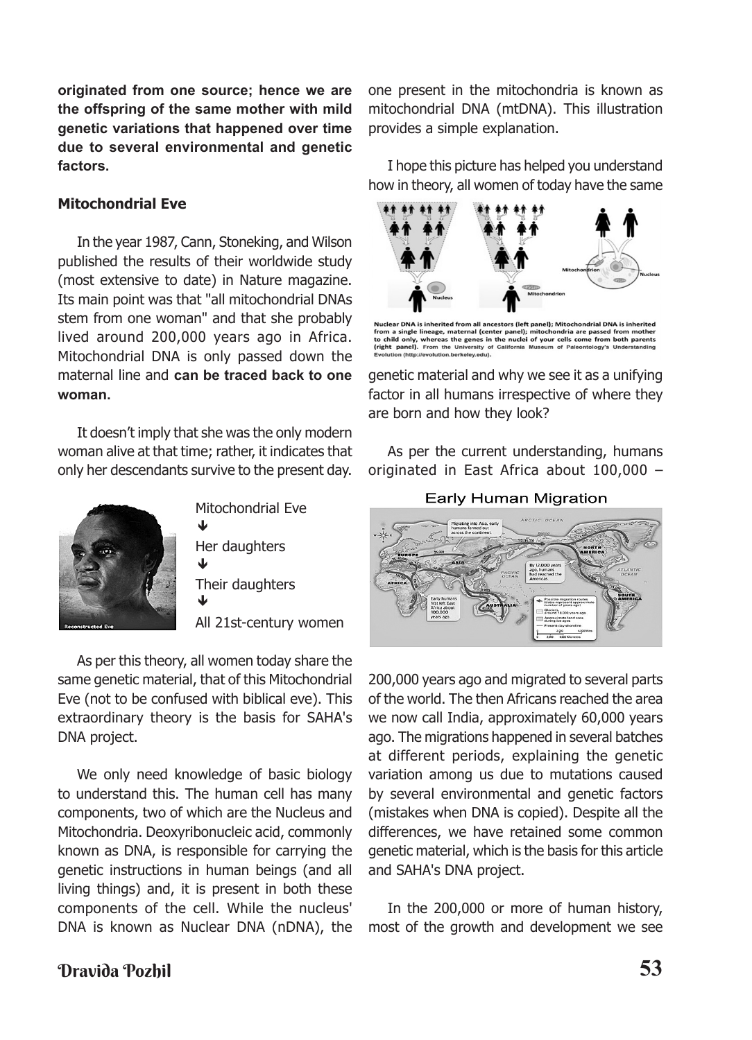**originated from one source; hence we are the offspring of the same mother with mild genetic variations that happened over time due to several environmental and genetic factors.**

#### **Mitochondrial Eve**

In the year 1987, Cann, Stoneking, and Wilson published the results of their worldwide study (most extensive to date) in Nature magazine. Its main point was that "all mitochondrial DNAs stem from one woman" and that she probably lived around 200,000 years ago in Africa. Mitochondrial DNA is only passed down the maternal line and **can be traced back to one woman.**

It doesn't imply that she was the only modern woman alive at that time; rather, it indicates that only her descendants survive to the present day.



Mitochondrial Eve Her daughters Their daughters All 21st-century women ♥ J ↓

As per this theory, all women today share the same genetic material, that of this Mitochondrial Eve (not to be confused with biblical eve). This extraordinary theory is the basis for SAHA's DNA project.

We only need knowledge of basic biology to understand this. The human cell has many components, two of which are the Nucleus and Mitochondria. Deoxyribonucleic acid, commonly known as DNA, is responsible for carrying the genetic instructions in human beings (and all living things) and, it is present in both these components of the cell. While the nucleus' DNA is known as Nuclear DNA (nDNA), the one present in the mitochondria is known as mitochondrial DNA (mtDNA). This illustration provides a simple explanation.

I hope this picture has helped you understand how in theory, all women of today have the same



Nuclear DNA is inherited from all ancestors (left panel); Mitochondrial DNA is inherited Nuclear DNA is inherited from all ancestors (left panel); Mitochondrial DM<br>from a single lineage, maternal (center panel); mitochondria are passed<br>to child only, whereas the genes in the nuclei of your cells come from<br>(ri both parents

genetic material and why we see it as a unifying factor in all humans irrespective of where they are born and how they look?

As per the current understanding, humans originated in East Africa about 100,000 –

**Early Human Migration** 



200,000 years ago and migrated to several parts of the world. The then Africans reached the area we now call India, approximately 60,000 years ago. The migrations happened in several batches at different periods, explaining the genetic variation among us due to mutations caused by several environmental and genetic factors (mistakes when DNA is copied). Despite all the differences, we have retained some common genetic material, which is the basis for this article and SAHA's DNA project.

In the 200,000 or more of human history, most of the growth and development we see

# Dravida Pozhil **53**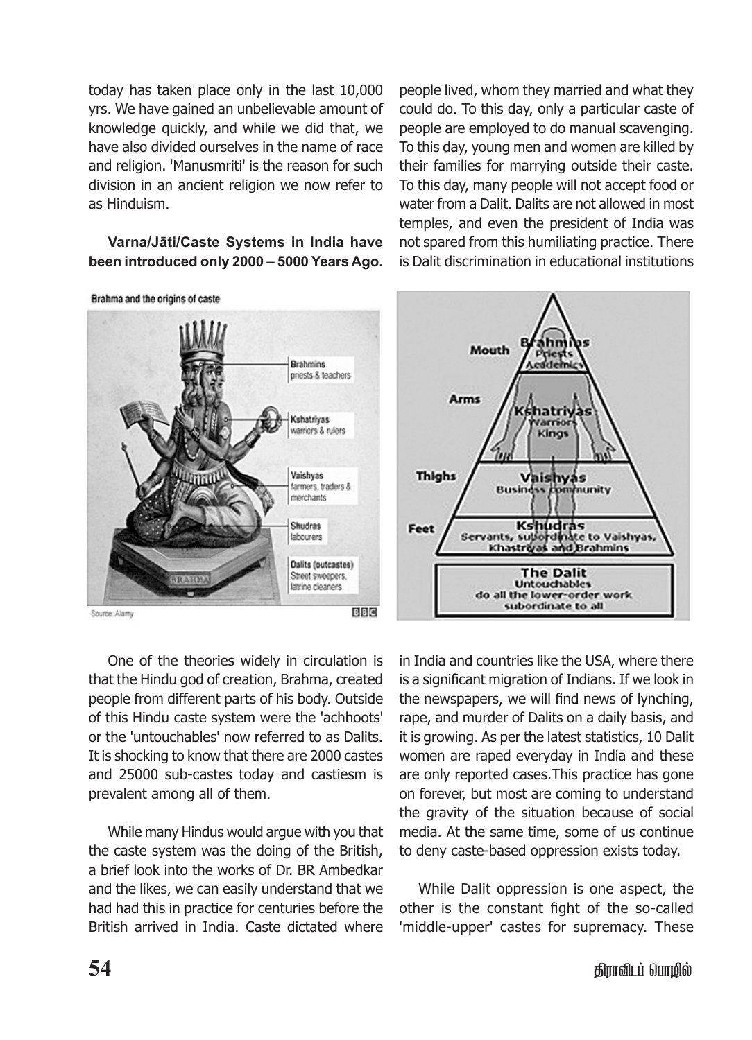today has taken place only in the last 10,000 yrs. We have gained an unbelievable amount of knowledge quickly, and while we did that, we have also divided ourselves in the name of race and religion. 'Manusmriti' is the reason for such division in an ancient religion we now refer to as Hinduism.

#### **Varna/Jāti/Caste Systems in India have been introduced only 2000 – 5000 Years Ago.**

people lived, whom they married and what they could do. To this day, only a particular caste of people are employed to do manual scavenging. To this day, young men and women are killed by their families for marrying outside their caste. To this day, many people will not accept food or water from a Dalit. Dalits are not allowed in most temples, and even the president of India was not spared from this humiliating practice. There is Dalit discrimination in educational institutions





One of the theories widely in circulation is that the Hindu god of creation, Brahma, created people from different parts of his body. Outside of this Hindu caste system were the 'achhoots' or the 'untouchables' now referred to as Dalits. It is shocking to know that there are 2000 castes and 25000 sub-castes today and castiesm is prevalent among all of them.

While many Hindus would argue with you that the caste system was the doing of the British, a brief look into the works of Dr. BR Ambedkar and the likes, we can easily understand that we had had this in practice for centuries before the British arrived in India. Caste dictated where in India and countries like the USA, where there is a significant migration of Indians. If we look in the newspapers, we will find news of lynching, rape, and murder of Dalits on a daily basis, and it is growing. As per the latest statistics, 10 Dalit women are raped everyday in India and these are only reported cases.This practice has gone on forever, but most are coming to understand the gravity of the situation because of social media. At the same time, some of us continue to deny caste-based oppression exists today.

While Dalit oppression is one aspect, the other is the constant fight of the so-called 'middle-upper' castes for supremacy. These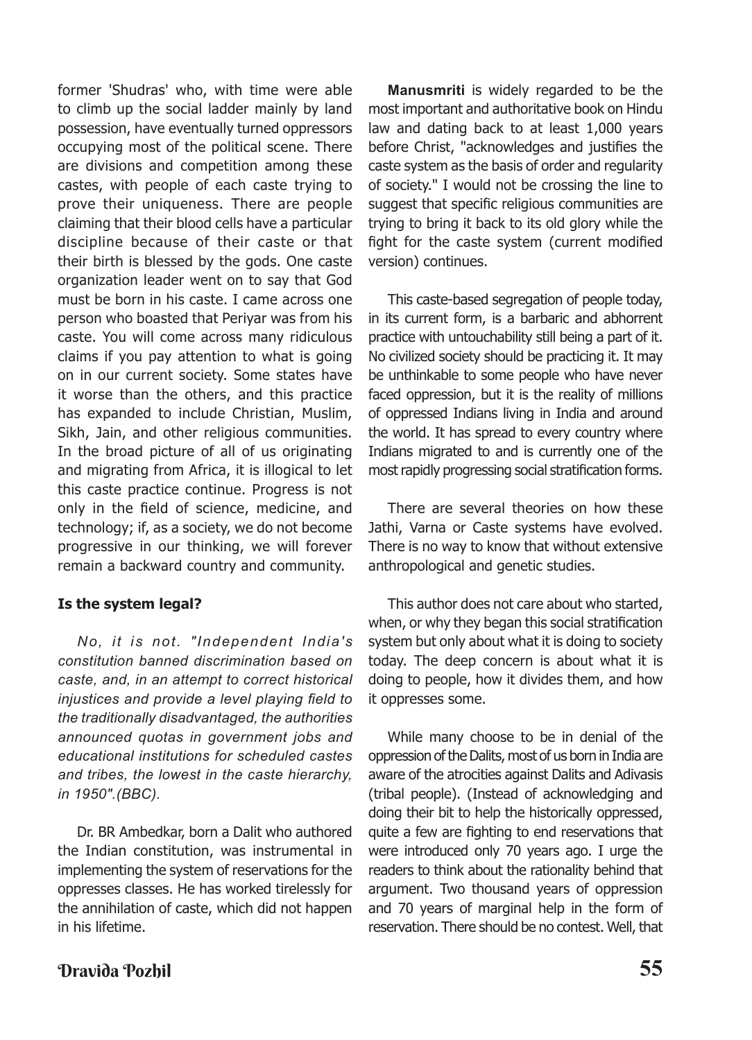former 'Shudras' who, with time were able to climb up the social ladder mainly by land possession, have eventually turned oppressors occupying most of the political scene. There are divisions and competition among these castes, with people of each caste trying to prove their uniqueness. There are people claiming that their blood cells have a particular discipline because of their caste or that their birth is blessed by the gods. One caste organization leader went on to say that God must be born in his caste. I came across one person who boasted that Periyar was from his caste. You will come across many ridiculous claims if you pay attention to what is going on in our current society. Some states have it worse than the others, and this practice has expanded to include Christian, Muslim, Sikh, Jain, and other religious communities. In the broad picture of all of us originating and migrating from Africa, it is illogical to let this caste practice continue. Progress is not only in the field of science, medicine, and technology; if, as a society, we do not become progressive in our thinking, we will forever remain a backward country and community.

#### **Is the system legal?**

*No, it is not. "Independent India's constitution banned discrimination based on caste, and, in an attempt to correct historical injustices and provide a level playing field to the traditionally disadvantaged, the authorities announced quotas in government jobs and educational institutions for scheduled castes and tribes, the lowest in the caste hierarchy, in 1950".(BBC).*

Dr. BR Ambedkar, born a Dalit who authored the Indian constitution, was instrumental in implementing the system of reservations for the oppresses classes. He has worked tirelessly for the annihilation of caste, which did not happen in his lifetime.

**Manusmriti** is widely regarded to be the most important and authoritative book on Hindu law and dating back to at least 1,000 years before Christ, "acknowledges and justifies the caste system as the basis of order and regularity of society." I would not be crossing the line to suggest that specific religious communities are trying to bring it back to its old glory while the fight for the caste system (current modified version) continues.

This caste-based segregation of people today, in its current form, is a barbaric and abhorrent practice with untouchability still being a part of it. No civilized society should be practicing it. It may be unthinkable to some people who have never faced oppression, but it is the reality of millions of oppressed Indians living in India and around the world. It has spread to every country where Indians migrated to and is currently one of the most rapidly progressing social stratification forms.

There are several theories on how these Jathi, Varna or Caste systems have evolved. There is no way to know that without extensive anthropological and genetic studies.

This author does not care about who started, when, or why they began this social stratification system but only about what it is doing to society today. The deep concern is about what it is doing to people, how it divides them, and how it oppresses some.

While many choose to be in denial of the oppression of the Dalits, most of us born in India are aware of the atrocities against Dalits and Adivasis (tribal people). (Instead of acknowledging and doing their bit to help the historically oppressed, quite a few are fighting to end reservations that were introduced only 70 years ago. I urge the readers to think about the rationality behind that argument. Two thousand years of oppression and 70 years of marginal help in the form of reservation. There should be no contest. Well, that

## Dravida Pozhil **55**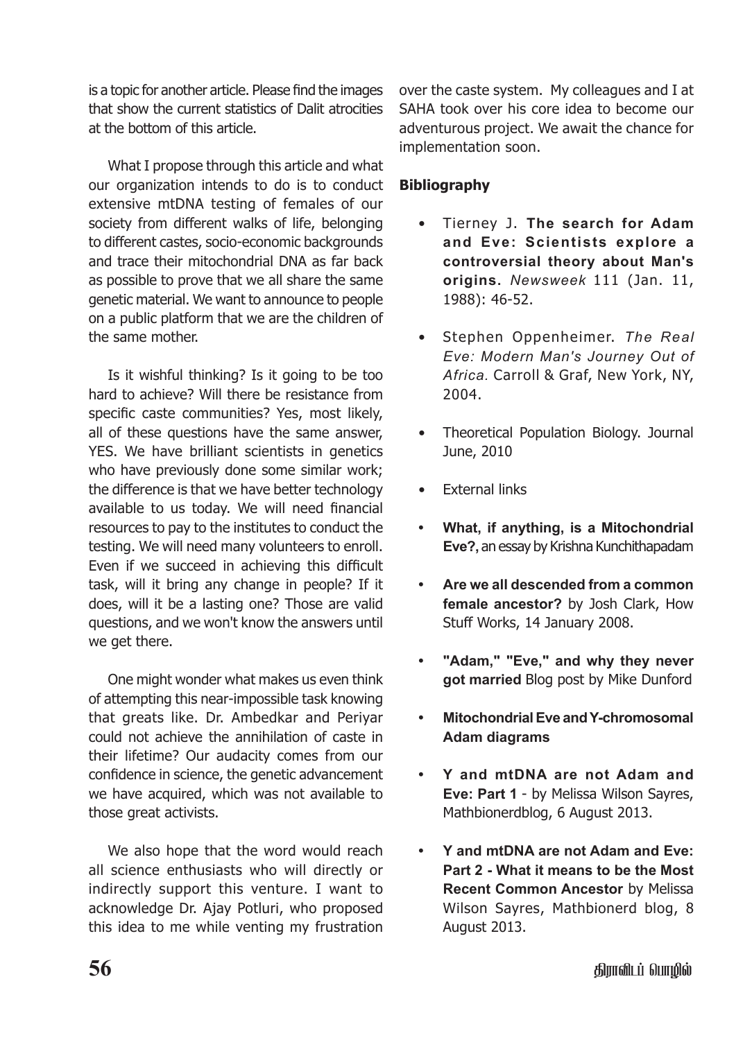is a topic for another article. Please find the images that show the current statistics of Dalit atrocities at the bottom of this article.

What I propose through this article and what our organization intends to do is to conduct extensive mtDNA testing of females of our society from different walks of life, belonging to different castes, socio-economic backgrounds and trace their mitochondrial DNA as far back as possible to prove that we all share the same genetic material. We want to announce to people on a public platform that we are the children of the same mother.

Is it wishful thinking? Is it going to be too hard to achieve? Will there be resistance from specific caste communities? Yes, most likely, all of these questions have the same answer, YES. We have brilliant scientists in genetics who have previously done some similar work; the difference is that we have better technology available to us today. We will need financial resources to pay to the institutes to conduct the testing. We will need many volunteers to enroll. Even if we succeed in achieving this difficult task, will it bring any change in people? If it does, will it be a lasting one? Those are valid questions, and we won't know the answers until we get there.

One might wonder what makes us even think of attempting this near-impossible task knowing that greats like. Dr. Ambedkar and Periyar could not achieve the annihilation of caste in their lifetime? Our audacity comes from our confidence in science, the genetic advancement we have acquired, which was not available to those great activists.

We also hope that the word would reach all science enthusiasts who will directly or indirectly support this venture. I want to acknowledge Dr. Ajay Potluri, who proposed this idea to me while venting my frustration over the caste system. My colleagues and I at SAHA took over his core idea to become our adventurous project. We await the chance for implementation soon.

### **Bibliography**

- Tierney J. **The search for Adam and Eve: Scientists explore a controversial theory about Man's origins.** *Newsweek* 111 (Jan. 11, 1988): 46-52.
- Stephen Oppenheimer. *The Real Eve: Modern Man's Journey Out of Africa.* Carroll & Graf, New York, NY, 2004.
- Theoretical Population Biology. Journal June, 2010
- **External links**
- **• What, if anything, is a Mitochondrial Eve?,** an essay by Krishna Kunchithapadam
- **• Are we all descended from a common female ancestor?** by Josh Clark, How Stuff Works, 14 January 2008.
- **• "Adam," "Eve," and why they never got married** Blog post by Mike Dunford
- **• Mitochondrial Eve and Y-chromosomal Adam diagrams**
- **• Y and mtDNA are not Adam and Eve: Part 1** - by Melissa Wilson Sayres, Mathbionerdblog, 6 August 2013.
- **• Y and mtDNA are not Adam and Eve: Part 2 - What it means to be the Most Recent Common Ancestor** by Melissa Wilson Sayres, Mathbionerd blog, 8 August 2013.